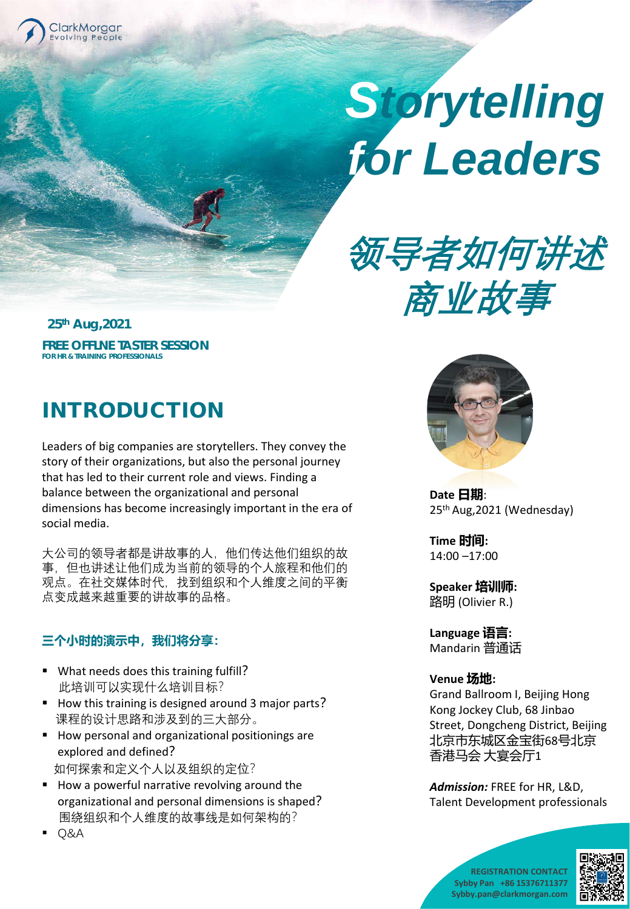

# *Storytelling for Leaders*



**25th Aug,2021 FREE OFFLNE TASTER SESSION FOR HR & TRAINING PROFESSIONALS**

## INTRODUCTION

Leaders of big companies are storytellers. They convey the story of their organizations, but also the personal journey that has led to their current role and views. Finding a balance between the organizational and personal dimensions has become increasingly important in the era of social media.

大公司的领导者都是讲故事的人,他们传达他们组织的故 事,但也讲述让他们成为当前的领导的个人旅程和他们的 观点。在社交媒体时代,找到组织和个人维度之间的平衡 点变成越来越重要的讲故事的品格。

## **三个小时的演示中,我们将分享:**

- What needs does this training fulfill? 此培训可以实现什么培训目标?
- How this training is designed around 3 major parts? 课程的设计思路和涉及到的三大部分。
- **How personal and organizational positionings are** explored and defined? 如何探索和定义个人以及组织的定位?
- How a powerful narrative revolving around the organizational and personal dimensions is shaped? 围绕组织和个人维度的故事线是如何架构的?

**Date 日期**: 25th Aug,2021 (Wednesday)

**Time 时间:**  14:00 –17:00

**Speaker 培训师:**  路明 (Olivier R.)

**Language 语言:**  Mandarin 普通话

## **Venue 场地:**

Grand Ballroom I, Beijing Hong Kong Jockey Club, 68 Jinbao Street, Dongcheng District, Beijing 北京市东城区金宝街68号北京 香港马会 大宴会厅1

*Admission:* FREE for HR, L&D, Talent Development professionals



Q&A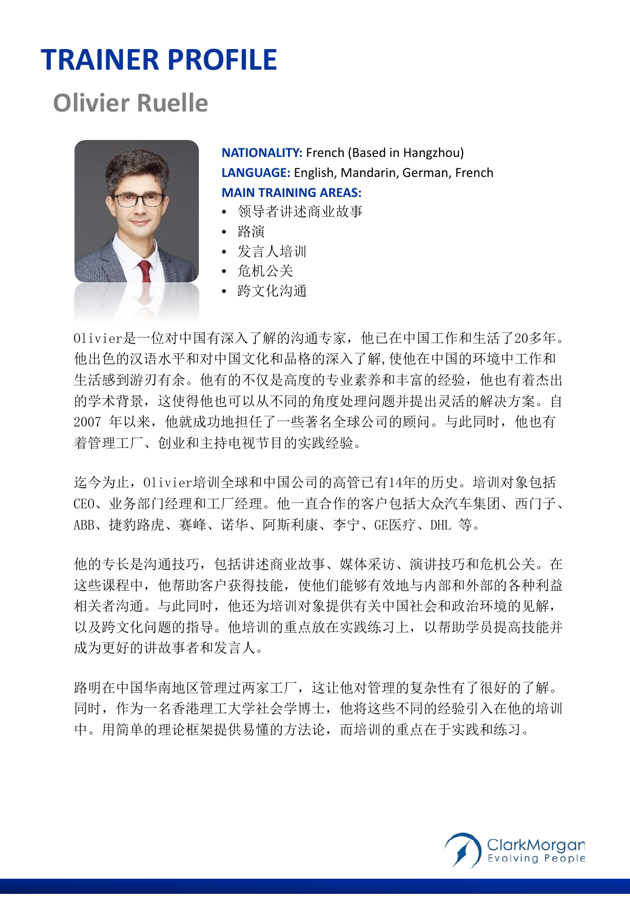# **TRAINER PROFILE**

# **Olivier Ruelle**



**NATIONALITY:** French (Based in Hangzhou) **LANGUAGE:** English, Mandarin, German, French **MAIN TRAINING AREAS:**

- 领导者讲述商业故事
- 路演
- 发言人培训
- 危机公关
- 跨文化沟通

Olivier是一位对中国有深入了解的沟通专家,他已在中国工作和生活了20多年。 他出色的汉语水平和对中国文化和品格的深入了解,使他在中国的环境中工作和 生活感到游刃有余。他有的不仅是高度的专业素养和丰富的经验,他也有着杰出 的学术背景,这使得他也可以从不同的角度处理问题并提出灵活的解决方案。自 2007 年以来,他就成功地担任了一些著名全球公司的顾问。与此同时,他也有 着管理工厂、创业和主持电视节目的实践经验。

迄今为止,Olivier培训全球和中国公司的高管已有14年的历史。培训对象包括 CEO、业务部门经理和工厂经理。他一直合作的客户包括大众汽车集团、西门子、 ABB、捷豹路虎、赛峰、诺华、阿斯利康、李宁、GE医疗、DHL 等。

他的专长是沟通技巧,包括讲述商业故事、媒体采访、演讲技巧和危机公关。在 这些课程中,他帮助客户获得技能,使他们能够有效地与内部和外部的各种利益 相关者沟通。与此同时,他还为培训对象提供有关中国社会和政治环境的见解, 以及跨文化问题的指导。他培训的重点放在实践练习上,以帮助学员提高技能并 成为更好的讲故事者和发言人。

路明在中国华南地区管理过两家工厂,这让他对管理的复杂性有了很好的了解。 同时,作为一名香港理工大学社会学博士,他将这些不同的经验引入在他的培训 中。用简单的理论框架提供易懂的方法论,而培训的重点在于实践和练习。